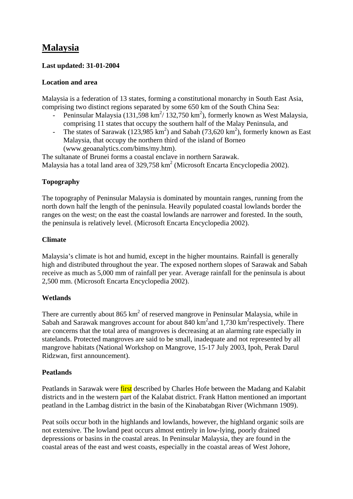# **Malaysia**

## **Last updated: 31-01-2004**

#### **Location and area**

Malaysia is a federation of 13 states, forming a constitutional monarchy in South East Asia, comprising two distinct regions separated by some 650 km of the South China Sea:

- Peninsular Malaysia (131,598 km<sup>2</sup>/132,750 km<sup>2</sup>), formerly known as West Malaysia, comprising 11 states that occupy the southern half of the Malay Peninsula, and
- The states of Sarawak (123,985  $\text{km}^2$ ) and Sabah (73,620  $\text{km}^2$ ), formerly known as East Malaysia, that occupy the northern third of the island of Borneo (www.geoanalytics.com/bims/my.htm).

The sultanate of Brunei forms a coastal enclave in northern Sarawak. Malaysia has a total land area of  $329,758 \text{ km}^2$  (Microsoft Encarta Encyclopedia 2002).

### **Topography**

The topography of Peninsular Malaysia is dominated by mountain ranges, running from the north down half the length of the peninsula. Heavily populated coastal lowlands border the ranges on the west; on the east the coastal lowlands are narrower and forested. In the south, the peninsula is relatively level. (Microsoft Encarta Encyclopedia 2002).

#### **Climate**

Malaysia's climate is hot and humid, except in the higher mountains. Rainfall is generally high and distributed throughout the year. The exposed northern slopes of Sarawak and Sabah receive as much as 5,000 mm of rainfall per year. Average rainfall for the peninsula is about 2,500 mm. (Microsoft Encarta Encyclopedia 2002).

# **Wetlands**

There are currently about 865  $km^2$  of reserved mangrove in Peninsular Malaysia, while in Sabah and Sarawak mangroves account for about  $840 \text{ km}^2$  and  $1,730 \text{ km}^2$  respectively. There are concerns that the total area of mangroves is decreasing at an alarming rate especially in statelands. Protected mangroves are said to be small, inadequate and not represented by all mangrove habitats (National Workshop on Mangrove, 15-17 July 2003, Ipoh, Perak Darul Ridzwan, first announcement).

#### **Peatlands**

Peatlands in Sarawak were first described by Charles Hofe between the Madang and Kalabit districts and in the western part of the Kalabat district. Frank Hatton mentioned an important peatland in the Lambag district in the basin of the Kinabatabgan River (Wichmann 1909).

Peat soils occur both in the highlands and lowlands, however, the highland organic soils are not extensive. The lowland peat occurs almost entirely in low-lying, poorly drained depressions or basins in the coastal areas. In Peninsular Malaysia, they are found in the coastal areas of the east and west coasts, especially in the coastal areas of West Johore,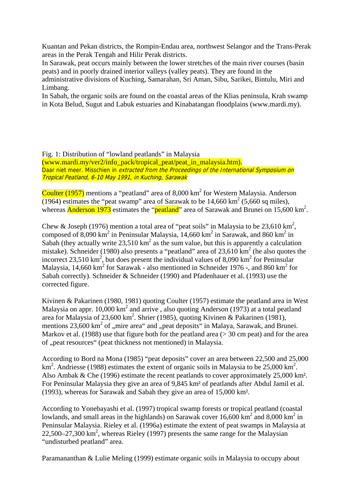Kuantan and Pekan districts, the Rompin-Endau area, northwest Selangor and the Trans-Perak areas in the Perak Tengah and Hilir Perak districts.

In Sarawak, peat occurs mainly between the lower stretches of the main river courses (basin peats) and in poorly drained interior valleys (valley peats). They are found in the

administrative divisions of Kuching, Samarahan, Sri Aman, Sibu, Sarikei, Bintulu, Miri and Limbang.

In Sabah, the organic soils are found on the coastal areas of the Klias peninsula, Krah swamp in Kota Belud, Sugut and Labuk estuaries and Kinabatangan floodplains (www.mardi.my).

Fig. 1: Distribution of "lowland peatlands" in Malaysia (www.mardi.my/ver2/info\_pack/tropical\_peat/peat\_in\_malaysia.htm). Daar niet meer. Misschien in extracted from the Proceedings of the International Symposium on Tropical Peatland, 6-10 May 1991, in Kuching, Sarawak

Coulter  $(1957)$  mentions a "peatland" area of 8,000 km<sup>2</sup> for Western Malaysia. Anderson (1964) estimates the "peat swamp" area of Sarawak to be  $14,660 \text{ km}^2$  (5,660 sq miles), whereas **Anderson 1973** estimates the "**peatland**" area of Sarawak and Brunei on 15,600 km<sup>2</sup>.

Chew & Joseph (1976) mention a total area of "peat soils" in Malaysia to be 23,610 km<sup>2</sup>, composed of  $8,090 \text{ km}^2$  in Peninsular Malaysia, 14,660 km<sup>2</sup> in Sarawak, and 860 km<sup>2</sup> in Sabah (they actually write  $23,510 \text{ km}^2$  as the sum value, but this is apparently a calculation mistake). Schneider (1980) also presents a "peatland" area of  $23,610 \text{ km}^2$  (he also quotes the incorrect 23,510 km<sup>2</sup>, but does present the individual values of 8,090 km<sup>2</sup> for Peninsular Malaysia, 14,660 km<sup>2</sup> for Sarawak - also mentioned in Schneider 1976 -, and 860 km<sup>2</sup> for Sabah correctly). Schneider & Schneider (1990) and Pfadenhauer et al. (1993) use the corrected figure.

Kivinen & Pakarinen (1980, 1981) quoting Coulter (1957) estimate the peatland area in West Malaysia on appr. 10,000 km<sup>2</sup> and arrive, also quoting Anderson (1973) at a total peatland area for Malaysia of 23,600 km<sup>2</sup>. Shrier (1985), quoting Kivinen & Pakarinen (1981), mentions  $23,600 \text{ km}^2$  of "mire area" and "peat deposits" in Malaya, Sarawak, and Brunei. Markov et al. (1988) use that figure both for the peatland area ( $>$  30 cm peat) and for the area of "peat resources" (peat thickness not mentioned) in Malaysia.

According to Bord na Mona (1985) "peat deposits" cover an area between 22,500 and 25,000  $\text{km}^2$ . Andriesse (1988) estimates the extent of organic soils in Malaysia to be 25,000 km<sup>2</sup>. Also Ambak & Che (1996) estimate the recent peatlands to cover approximately 25,000 km². For Peninsular Malaysia they give an area of 9,845 km² of peatlands after Abdul Jamil et al. (1993), whereas for Sarawak and Sabah they give an area of 15,000 km².

According to Yonebayashi et al. (1997) tropical swamp forests or tropical peatland (coastal lowlands, and small areas in the highlands) on Sarawak cover  $16,600 \text{ km}^2$  and  $8,000 \text{ km}^2$  in Peninsular Malaysia. Rieley et al. (1996a) estimate the extent of peat swamps in Malaysia at  $22,500-27,300 \text{ km}^2$ , whereas Rieley (1997) presents the same range for the Malaysian "undisturbed peatland" area.

Paramananthan & Lulie Meling (1999) estimate organic soils in Malaysia to occupy about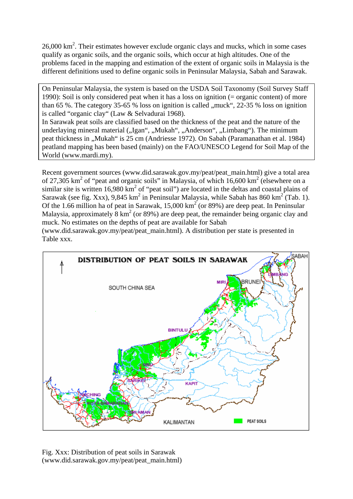$26,000 \text{ km}^2$ . Their estimates however exclude organic clays and mucks, which in some cases qualify as organic soils, and the organic soils, which occur at high altitudes. One of the problems faced in the mapping and estimation of the extent of organic soils in Malaysia is the different definitions used to define organic soils in Peninsular Malaysia, Sabah and Sarawak.

On Peninsular Malaysia, the system is based on the USDA Soil Taxonomy (Soil Survey Staff 1990): Soil is only considered peat when it has a loss on ignition (= organic content) of more than 65 %. The category 35-65 % loss on ignition is called , muck",  $22-35$  % loss on ignition is called "organic clay" (Law & Selvadurai 1968).

In Sarawak peat soils are classified based on the thickness of the peat and the nature of the underlaying mineral material ("Igan", "Mukah", "Anderson", "Limbang"). The minimum peat thickness in "Mukah" is 25 cm (Andriesse 1972). On Sabah (Paramanathan et al. 1984) peatland mapping has been based (mainly) on the FAO/UNESCO Legend for Soil Map of the World (www.mardi.my).

Recent government sources (www.did.sarawak.gov.my/peat/peat\_main.html) give a total area of 27,305  $\text{km}^2$  of "peat and organic soils" in Malaysia, of which 16,600  $\text{km}^2$  (elsewhere on a similar site is written  $16,980 \text{ km}^2$  of "peat soil") are located in the deltas and coastal plains of Sarawak (see fig. Xxx), 9,845 km<sup>2</sup> in Peninsular Malaysia, while Sabah has 860 km<sup>2</sup> (Tab. 1). Of the 1.66 million ha of peat in Sarawak,  $15,000 \text{ km}^2$  (or 89%) are deep peat. In Peninsular Malaysia, approximately  $8 \text{ km}^2$  (or 89%) are deep peat, the remainder being organic clay and muck. No estimates on the depths of peat are available for Sabah

(www.did.sarawak.gov.my/peat/peat\_main.html). A distribution per state is presented in Table xxx.



Fig. Xxx: Distribution of peat soils in Sarawak (www.did.sarawak.gov.my/peat/peat\_main.html)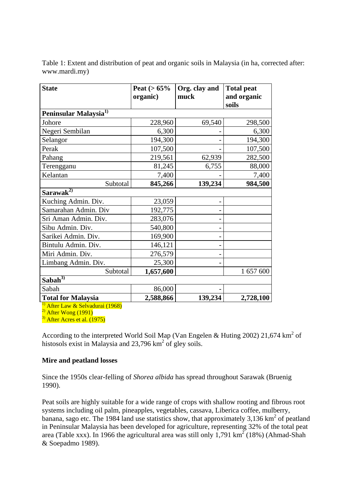Table 1: Extent and distribution of peat and organic soils in Malaysia (in ha, corrected after: www.mardi.my)

| <b>State</b>                      | Peat ( $> 65\%$ | Org. clay and | <b>Total peat</b> |  |  |  |  |
|-----------------------------------|-----------------|---------------|-------------------|--|--|--|--|
|                                   | organic)        | muck          | and organic       |  |  |  |  |
|                                   |                 |               | soils             |  |  |  |  |
| Peninsular Malaysia <sup>1)</sup> |                 |               |                   |  |  |  |  |
| Johore                            | 228,960         | 69,540        | 298,500           |  |  |  |  |
| Negeri Sembilan                   | 6,300           |               | 6,300             |  |  |  |  |
| Selangor                          | 194,300         |               | 194,300           |  |  |  |  |
| Perak                             | 107,500         |               | 107,500           |  |  |  |  |
| Pahang                            | 219,561         | 62,939        | 282,500           |  |  |  |  |
| Terengganu                        | 81,245          | 6,755         | 88,000            |  |  |  |  |
| Kelantan                          | 7,400           |               | 7,400             |  |  |  |  |
| Subtotal                          | 845,266         | 139,234       | 984,500           |  |  |  |  |
| Sarawak <sup>2)</sup>             |                 |               |                   |  |  |  |  |
| Kuching Admin. Div.               | 23,059          |               |                   |  |  |  |  |
| Samarahan Admin. Div              | 192,775         |               |                   |  |  |  |  |
| Sri Aman Admin. Div.              | 283,076         |               |                   |  |  |  |  |
| Sibu Admin. Div.                  | 540,800         |               |                   |  |  |  |  |
| Sarikei Admin. Div.               | 169,900         |               |                   |  |  |  |  |
| Bintulu Admin. Div.               | 146,121         |               |                   |  |  |  |  |
| Miri Admin. Div.                  | 276,579         |               |                   |  |  |  |  |
| Limbang Admin. Div.               | 25,300          |               |                   |  |  |  |  |
| Subtotal                          | 1,657,600       |               | 1 657 600         |  |  |  |  |
| $Sab\overline{ah^{3)} }$          |                 |               |                   |  |  |  |  |
| Sabah                             | 86,000          |               |                   |  |  |  |  |
| <b>Total for Malaysia</b>         | 2,588,866       | 139,234       | 2,728,100         |  |  |  |  |

<sup>1)</sup> After Law & Selvadurai (1968)

 $2<sup>2</sup>$  After Wong (1991)

 $3)$  After Acres et al. (1975)

According to the interpreted World Soil Map (Van Engelen & Huting 2002) 21,674 km<sup>2</sup> of histosols exist in Malaysia and  $23,796 \text{ km}^2$  of gley soils.

#### **Mire and peatland losses**

Since the 1950s clear-felling of *Shorea albida* has spread throughout Sarawak (Bruenig 1990).

Peat soils are highly suitable for a wide range of crops with shallow rooting and fibrous root systems including oil palm, pineapples, vegetables, cassava, Liberica coffee, mulberry, banana, sago etc. The 1984 land use statistics show, that approximately 3,136  $\text{km}^2$  of peatland in Peninsular Malaysia has been developed for agriculture, representing 32% of the total peat area (Table xxx). In 1966 the agricultural area was still only 1,791  $\text{km}^2$  (18%) (Ahmad-Shah & Soepadmo 1989).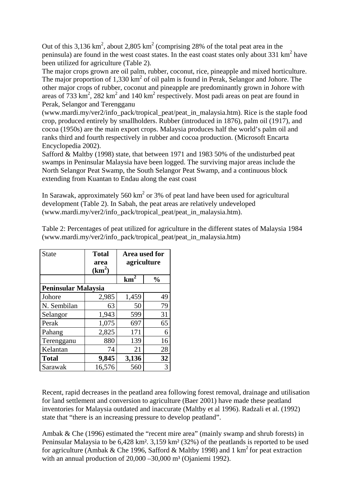Out of this 3,136 km<sup>2</sup>, about 2,805 km<sup>2</sup> (comprising 28% of the total peat area in the peninsula) are found in the west coast states. In the east coast states only about 331 km<sup>2</sup> have been utilized for agriculture (Table 2).

The major crops grown are oil palm, rubber, coconut, rice, pineapple and mixed horticulture. The major proportion of  $1,330 \text{ km}^2$  of oil palm is found in Perak, Selangor and Johore. The other major crops of rubber, coconut and pineapple are predominantly grown in Johore with areas of  $733 \text{ km}^2$ ,  $282 \text{ km}^2$  and  $140 \text{ km}^2$  respectively. Most padi areas on peat are found in Perak, Selangor and Terengganu

(www.mardi.my/ver2/info\_pack/tropical\_peat/peat\_in\_malaysia.htm). Rice is the staple food crop, produced entirely by smallholders. Rubber (introduced in 1876), palm oil (1917), and cocoa (1950s) are the main export crops. Malaysia produces half the world's palm oil and ranks third and fourth respectively in rubber and cocoa production. (Microsoft Encarta Encyclopedia 2002).

Safford & Maltby (1998) state, that between 1971 and 1983 50% of the undisturbed peat swamps in Peninsular Malaysia have been logged. The surviving major areas include the North Selangor Peat Swamp, the South Selangor Peat Swamp, and a continuous block extending from Kuantan to Endau along the east coast

In Sarawak, approximately 560  $km^2$  or 3% of peat land have been used for agricultural development (Table 2). In Sabah, the peat areas are relatively undeveloped (www.mardi.my/ver2/info\_pack/tropical\_peat/peat\_in\_malaysia.htm).

| <b>State</b>               | <b>Total</b><br>area<br>(km <sup>2</sup> ) | Area used for<br>agriculture |               |
|----------------------------|--------------------------------------------|------------------------------|---------------|
|                            |                                            | $km^2$                       | $\frac{0}{0}$ |
| <b>Peninsular Malaysia</b> |                                            |                              |               |
| Johore                     | 2,985                                      | 1,459                        | 49            |
| N. Sembilan                | 63                                         | 50                           | 79            |
| Selangor                   | 1,943                                      | 599                          | 31            |
| Perak                      | 1,075                                      | 697                          | 65            |
| Pahang                     | 2,825                                      | 171                          | 6             |
| Terengganu                 | 880                                        | 139                          | 16            |
| Kelantan                   | 74                                         | 21                           | 28            |
| <b>Total</b>               | 9,845                                      | 3,136                        | 32            |
| Sarawak                    | 16,576                                     | 560                          | 3             |

Table 2: Percentages of peat utilized for agriculture in the different states of Malaysia 1984 (www.mardi.my/ver2/info\_pack/tropical\_peat/peat\_in\_malaysia.htm)

Recent, rapid decreases in the peatland area following forest removal, drainage and utilisation for land settlement and conversion to agriculture (Baer 2001) have made these peatland inventories for Malaysia outdated and inaccurate (Maltby et al 1996). Radzali et al. (1992) state that "there is an increasing pressure to develop peatland".

Ambak & Che (1996) estimated the "recent mire area" (mainly swamp and shrub forests) in Peninsular Malaysia to be 6,428 km². 3,159 km² (32%) of the peatlands is reported to be used for agriculture (Ambak & Che 1996, Safford & Maltby 1998) and 1 km<sup>2</sup> for peat extraction with an annual production of  $20,000 - 30,000$  m<sup>3</sup> (Ojaniemi 1992).